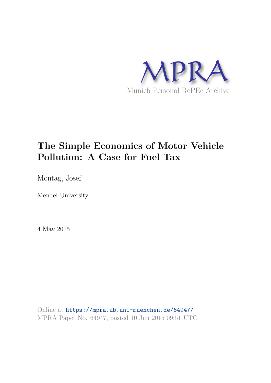

# **The Simple Economics of Motor Vehicle Pollution: A Case for Fuel Tax**

Montag, Josef

Mendel University

4 May 2015

Online at https://mpra.ub.uni-muenchen.de/64947/ MPRA Paper No. 64947, posted 10 Jun 2015 09:51 UTC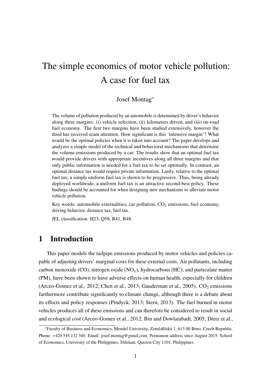# The simple economics of motor vehicle pollution: A case for fuel tax

## Josef Montag\*

The volume of pollution produced by an automobile is determined by driver's behavior along three margins: (i) vehicle selection, (ii) kilometers driven, and (iii) on-road fuel economy. The first two margins have been studied extensively, however the third has received scant attention. How significant is this 'intensive margin'? What would be the optimal policies when it is taken into account? The paper develops and analyzes a simple model of the technical and behavioral mechanisms that determine the volume emissions produced by a car. The results show that an optimal fuel tax would provide drivers with appropriate incentives along all three margins and that only public information is needed for a fuel tax to be set optimally. In contrast, an optimal distance tax would require private information. Lastly, relative to the optimal fuel tax, a simple uniform fuel tax is shown to be progressive. Thus, being already deployed worldwide, a uniform fuel tax is an attractive second-best policy. These findings should be accounted for when designing new mechanisms to alleviate motor vehicle pollution.

Key words: automobile externalities, car pollution,  $CO<sub>2</sub>$  emissions, fuel economy, driving behavior, distance tax, fuel tax.

JEL classification: H23, Q58, R41, R48.

## 1 Introduction

This paper models the tailpipe emissions produced by motor vehicles and policies capable of adjusting drivers' marginal costs for these external costs. Air pollutants, including carbon monoxide (CO), nitrogen oxide  $(NO<sub>x</sub>)$ , hydrocarbons  $(HC)$ , and particulate matter (PM), have been shown to have adverse effects on human health, especially for children (Arceo-Gomez et al., 2012; Chen et al., 2013; Gauderman et al., 2005).  $CO_2$  emissions furthermore contribute significantly to climate change, although there is a debate about its effects and policy responses (Pindyck, 2013; Stern, 2013). The fuel burned in motor vehicles produces all of these emissions and can therefore be considered to result in social and ecological cost (Arceo-Gomez et al., 2012; Bin and Dowlatabadi, 2005; Dietz et al.,

<sup>\*</sup>Faculty of Business and Economics, Mendel University, Zemedˇ elská 1, 613 00 Brno, Czech Republic. ˇ Phone: +420 545 132 340. Email: josef.montag@gmail.com. Permanent address since August 2015: School of Economics, University of the Philippines, Diliman, Quezon City 1101, Philippines.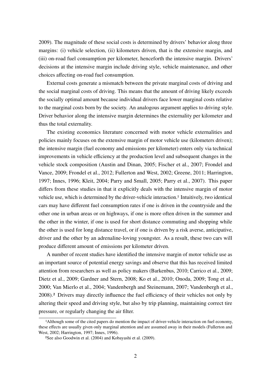2009). The magnitude of these social costs is determined by drivers' behavior along three margins: (i) vehicle selection, (ii) kilometers driven, that is the extensive margin, and (iii) on-road fuel consumption per kilometer, henceforth the intensive margin. Drivers' decisions at the intensive margin include driving style, vehicle maintenance, and other choices affecting on-road fuel consumption.

External costs generate a mismatch between the private marginal costs of driving and the social marginal costs of driving. This means that the amount of driving likely exceeds the socially optimal amount because individual drivers face lower marginal costs relative to the marginal costs born by the society. An analogous argument applies to driving style. Driver behavior along the intensive margin determines the externality per kilometer and thus the total externality.

The existing economics literature concerned with motor vehicle externalities and policies mainly focuses on the extensive margin of motor vehicle use (kilometers driven); the intensive margin (fuel economy and emissions per kilometer) enters only via technical improvements in vehicle efficiency at the production level and subsequent changes in the vehicle stock composition (Austin and Dinan, 2005; Fischer et al., 2007; Frondel and Vance, 2009; Frondel et al., 2012; Fullerton and West, 2002; Greene, 2011; Harrington, 1997; Innes, 1996; Kleit, 2004; Parry and Small, 2005; Parry et al., 2007). This paper differs from these studies in that it explicitly deals with the intensive margin of motor vehicle use, which is determined by the driver-vehicle interaction.1 Intuitively, two identical cars may have different fuel consumption rates if one is driven in the countryside and the other one in urban areas or on highways, if one is more often driven in the summer and the other in the winter, if one is used for short distance commuting and shopping while the other is used for long distance travel, or if one is driven by a risk averse, anticipative, driver and the other by an adrenaline-loving youngster. As a result, these two cars will produce different amount of emissions per kilometer driven.

A number of recent studies have identified the intensive margin of motor vehicle use as an important source of potential energy savings and observe that this has received limited attention from researchers as well as policy makers (Barkenbus, 2010; Carrico et al., 2009; Dietz et al., 2009; Gardner and Stern, 2008; Ko et al., 2010; Onoda, 2009; Tong et al., 2000; Van Mierlo et al., 2004; Vandenbergh and Steinemann, 2007; Vandenbergh et al., 2008).2 Drivers may directly influence the fuel efficiency of their vehicles not only by altering their speed and driving style, but also by trip planning, maintaining correct tire pressure, or regularly changing the air filter.

<sup>1</sup>Although some of the cited papers do mention the impact of driver-vehicle interaction on fuel economy, these effects are usually given only marginal attention and are assumed away in their models (Fullerton and West, 2002; Harrington, 1997; Innes, 1996).

<sup>2</sup>See also Goodwin et al. (2004) and Kobayashi et al. (2009).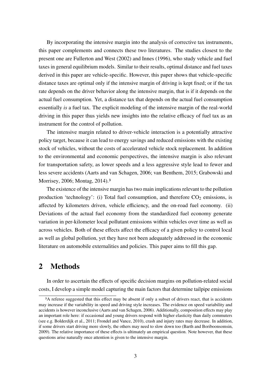By incorporating the intensive margin into the analysis of corrective tax instruments, this paper complements and connects these two literatures. The studies closest to the present one are Fullerton and West (2002) and Innes (1996), who study vehicle and fuel taxes in general equilibrium models. Similar to their results, optimal distance and fuel taxes derived in this paper are vehicle-specific. However, this paper shows that vehicle-specific distance taxes are optimal only if the intensive margin of driving is kept fixed; or if the tax rate depends on the driver behavior along the intensive margin, that is if it depends on the actual fuel consumption. Yet, a distance tax that depends on the actual fuel consumption essentially *is* a fuel tax. The explicit modeling of the intensive margin of the real-world driving in this paper thus yields new insights into the relative efficacy of fuel tax as an instrument for the control of pollution.

The intensive margin related to driver-vehicle interaction is a potentially attractive policy target, because it can lead to energy savings and reduced emissions with the existing stock of vehicles, without the costs of accelerated vehicle stock replacement. In addition to the environmental and economic perspectives, the intensive margin is also relevant for transportation safety, as lower speeds and a less aggressive style lead to fewer and less severe accidents (Aarts and van Schagen, 2006; van Benthem, 2015; Grabowski and Morrisey, 2006; Montag, 2014).3

The existence of the intensive margin has two main implications relevant to the pollution production 'technology': (i) Total fuel consumption, and therefore  $CO<sub>2</sub>$  emissions, is affected by kilometers driven, vehicle efficiency, and the on-road fuel economy. (ii) Deviations of the actual fuel economy from the standardized fuel economy generate variation in per-kilometer local pollutant emissions within vehicles over time as well as across vehicles. Both of these effects affect the efficacy of a given policy to control local as well as global pollution, yet they have not been adequately addressed in the economic literature on automobile externalities and policies. This paper aims to fill this gap.

# 2 Methods

In order to ascertain the effects of specific decision margins on pollution-related social costs, I develop a simple model capturing the main factors that determine tailpipe emissions

<sup>&</sup>lt;sup>3</sup>A referee suggested that this effect may be absent if only a subset of drivers react, that is accidents may increase if the variability in speed and driving style increases. The evidence on speed variability and accidents is however inconclusive (Aarts and van Schagen, 2006). Additionally, composition effects may play an important role here: if occasional and young drivers respond with higher elasticity than daily commuters (see e.g. Bolderdijk et al., 2011; Frondel and Vance, 2010), crash and injury rates may decrease. In addition, if some drivers start driving more slowly, the others may need to slow down too (Barth and Boriboonsomsin, 2009). The relative importance of these effects is ultimately an empirical question. Note however, that these questions arise naturally once attention is given to the intensive margin.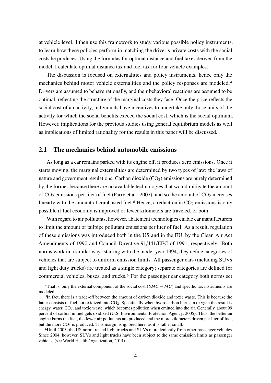at vehicle level. I then use this framework to study various possible policy instruments, to learn how these policies perform in matching the driver's private costs with the social costs he produces. Using the formulas for optimal distance and fuel taxes derived from the model, I calculate optimal distance tax and fuel tax for four vehicle examples.

The discussion is focused on externalities and policy instruments, hence only the mechanics behind motor vehicle externalities and the policy responses are modeled.4 Drivers are assumed to behave rationally, and their behavioral reactions are assumed to be optimal, reflecting the structure of the marginal costs they face. Once the price reflects the social cost of an activity, individuals have incentives to undertake only those units of the activity for which the social benefits exceed the social cost, which is the social optimum. However, implications for the previous studies using general equilibrium models as well as implications of limited rationality for the results in this paper will be discussed.

## 2.1 The mechanics behind automobile emissions

As long as a car remains parked with its engine off, it produces zero emissions. Once it starts moving, the marginal externalities are determined by two types of law: the laws of nature and government regulations. Carbon dioxide  $(CO<sub>2</sub>)$  emissions are purely determined by the former because there are no available technologies that would mitigate the amount of  $CO_2$  emissions per liter of fuel (Parry et al., 2007), and so the amount of  $CO_2$  increases linearly with the amount of combusted fuel.<sup>5</sup> Hence, a reduction in  $CO<sub>2</sub>$  emissions is only possible if fuel economy is improved or fewer kilometers are traveled, or both.

With regard to air pollutants, however, abatement technologies enable car manufacturers to limit the amount of tailpipe pollutant emissions per liter of fuel. As a result, regulation of these emissions was introduced both in the US and in the EU, by the Clean Air Act Amendments of 1990 and Council Directive 91/441/EEC of 1991, respectively. Both norms work in a similar way: starting with the model year 1994, they define categories of vehicles that are subject to uniform emission limits. All passenger cars (including SUVs and light duty trucks) are treated as a single category; separate categories are defined for commercial vehicles, buses, and trucks.6 For the passenger car category both norms set

<sup>&</sup>lt;sup>4</sup>That is, only the external component of the social cost  $(SMC - MC)$  and specific tax instruments are modeled.

<sup>5</sup>In fact, there is a trade-off between the amount of carbon dioxide and toxic waste. This is because the latter consists of fuel not oxidized into  $CO<sub>2</sub>$ . Specifically when hydrocarbon burns in oxygen the result is energy, water, CO<sub>2</sub>, and toxic waste, which becomes pollution when emitted into the air. Generally, about 99 percent of carbon in fuel gets oxidized (U.S. Environmental Protection Agency, 2005). Thus, the better an engine burns the fuel, the fewer air pollutants are produced and the more kilometers driven per liter of fuel, but the more  $CO<sub>2</sub>$  is produced. This margin is ignored here, as it is rather small.

<sup>6</sup>Until 2003, the US norm treated light trucks and SUVs more leniently from other passenger vehicles. Since 2004, however, SUVs and light trucks have been subject to the same emission limits as passenger vehicles (see World Health Organization, 2014).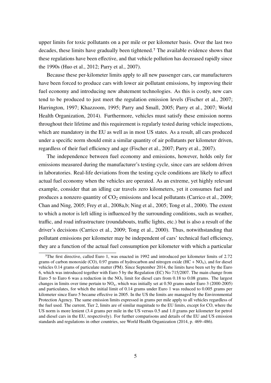upper limits for toxic pollutants on a per mile or per kilometer basis. Over the last two decades, these limits have gradually been tightened.7 The available evidence shows that these regulations have been effective, and that vehicle pollution has decreased rapidly since the 1990s (Huo et al., 2012; Parry et al., 2007).

Because these per-kilometer limits apply to all new passenger cars, car manufacturers have been forced to produce cars with lower air pollutant emissions, by improving their fuel economy and introducing new abatement technologies. As this is costly, new cars tend to be produced to just meet the regulation emission levels (Fischer et al., 2007; Harrington, 1997; Khazzoom, 1995; Parry and Small, 2005; Parry et al., 2007; World Health Organization, 2014). Furthermore, vehicles must satisfy these emission norms throughout their lifetime and this requirement is regularly tested during vehicle inspections, which are mandatory in the EU as well as in most US states. As a result, all cars produced under a specific norm should emit a similar quantity of air pollutants per kilometer driven, regardless of their fuel efficiency and age (Fischer et al., 2007; Parry et al., 2007).

The independence between fuel economy and emissions, however, holds only for emissions measured during the manufacturer's testing cycle, since cars are seldom driven in laboratories. Real-life deviations from the testing cycle conditions are likely to affect actual fuel economy when the vehicles are operated. As an extreme, yet highly relevant example, consider that an idling car travels zero kilometers, yet it consumes fuel and produces a nonzero quantity of  $CO<sub>2</sub>$  emissions and local pollutants (Carrico et al., 2009; Chan and Ning, 2005; Frey et al., 2008a,b; Ning et al., 2005; Tong et al., 2000). The extent to which a motor is left idling is influenced by the surrounding conditions, such as weather, traffic, and road infrastructure (roundabouts, traffic lights, etc.) but is also a result of the driver's decisions (Carrico et al., 2009; Tong et al., 2000). Thus, notwithstanding that pollutant emissions per kilometer may be independent of cars' technical fuel efficiency, they are a function of the actual fuel consumption per kilometer with which a particular

<sup>7</sup>The first directive, called Euro 1, was enacted in 1992 and introduced per kilometer limits of 2.72 grams of carbon monoxide (CO), 0.97 grams of hydrocarbon and nitrogen oxide  $(HC + NO<sub>x</sub>)$ , and for diesel vehicles 0.14 grams of particulate matter (PM). Since September 2014, the limits have been set by the Euro 6, which was introduced together with Euro 5 by the Regulation (EC) No 715/2007. The main change from Euro 5 to Euro 6 was a reduction in the  $NO_x$  limit for diesel cars from 0.18 to 0.08 grams. The largest changes in limits over time pertain to  $NO<sub>x</sub>$ , which was initially set at 0.50 grams under Euro 3 (2000-2005) and particulates, for which the initial limit of 0.14 grams under Euro 1 was reduced to 0.005 grams per kilometer since Euro 5 became effective in 2005. In the US the limits are managed by the Environmental Protection Agency. The same emission limits expressed in grams per mile apply to all vehicles regardless of the fuel used. The current, Tier 2, limits are of similar magnitude to the EU limits, except for CO, where the US norm is more lenient (3.4 grams per mile in the US versus 0.5 and 1.0 grams per kilometer for petrol and diesel cars in the EU, respectively). For further comparisons and details of the EU and US emission standards and regulations in other countries, see World Health Organization (2014, p. 469–486).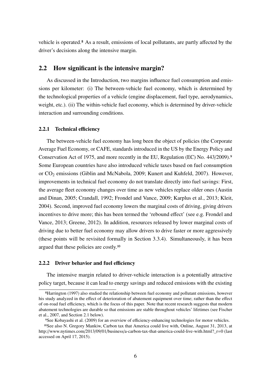vehicle is operated.8 As a result, emissions of local pollutants, are partly affected by the driver's decisions along the intensive margin.

## 2.2 How significant is the intensive margin?

As discussed in the Introduction, two margins influence fuel consumption and emissions per kilometer: (i) The between-vehicle fuel economy, which is determined by the technological properties of a vehicle (engine displacement, fuel type, aerodynamics, weight, etc.). (ii) The within-vehicle fuel economy, which is determined by driver-vehicle interaction and surrounding conditions.

#### 2.2.1 Technical efficiency

The between-vehicle fuel economy has long been the object of policies (the Corporate Average Fuel Economy, or CAFE, standards introduced in the US by the Energy Policy and Conservation Act of 1975, and more recently in the EU, Regulation (EC) No. 443/2009).9 Some European countries have also introduced vehicle taxes based on fuel consumption or CO<sub>2</sub> emissions (Giblin and McNabola, 2009; Kunert and Kuhfeld, 2007). However, improvements in technical fuel economy do not translate directly into fuel savings: First, the average fleet economy changes over time as new vehicles replace older ones (Austin and Dinan, 2005; Crandall, 1992; Frondel and Vance, 2009; Karplus et al., 2013; Kleit, 2004). Second, improved fuel economy lowers the marginal costs of driving, giving drivers incentives to drive more; this has been termed the 'rebound effect' (see e.g. Frondel and Vance, 2013; Greene, 2012). In addition, resources released by lower marginal costs of driving due to better fuel economy may allow drivers to drive faster or more aggressively (these points will be revisited formally in Section 3.3.4). Simultaneously, it has been argued that these policies are costly.10

#### 2.2.2 Driver behavior and fuel efficiency

The intensive margin related to driver-vehicle interaction is a potentially attractive policy target, because it can lead to energy savings and reduced emissions with the existing

<sup>8</sup>Harrington (1997) also studied the relationship between fuel economy and pollutant emissions, however his study analyzed in the effect of deterioration of abatement equipment over time; rather than the effect of on-road fuel efficiency, which is the focus of this paper. Note that recent research suggests that modern abatement technologies are durable so that emissions are stable throughout vehicles' lifetimes (see Fischer et al., 2007, and Section 2.1 below).

<sup>9</sup>See Kobayashi et al. (2009) for an overview of efficiency-enhancing technologies for motor vehicles.

<sup>10</sup>See also N. Gregory Mankiw, Carbon tax that America could live with, Online, August 31, 2013, at http://www.nytimes.com/2013/09/01/business/a-carbon-tax-that-america-could-live-with.html?\_r=0 (last accessed on April 17, 2015).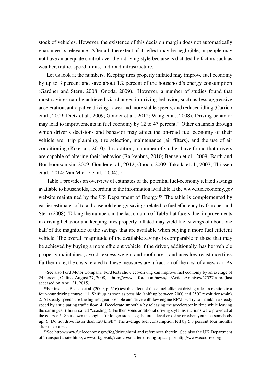stock of vehicles. However, the existence of this decision margin does not automatically guarantee its relevance: After all, the extent of its effect may be negligible, or people may not have an adequate control over their driving style because is dictated by factors such as weather, traffic, speed limits, and road infrastructure.

Let us look at the numbers. Keeping tires properly inflated may improve fuel economy by up to 3 percent and save about 1.2 percent of the household's energy consumption (Gardner and Stern, 2008; Onoda, 2009). However, a number of studies found that most savings can be achieved via changes in driving behavior, such as less aggressive acceleration, anticipative driving, lower and more stable speeds, and reduced idling (Carrico et al., 2009; Dietz et al., 2009; Gonder et al., 2012; Wang et al., 2008). Driving behavior may lead to improvements in fuel economy by 12 to 47 percent.<sup>11</sup> Other channels through which driver's decisions and behavior may affect the on-road fuel economy of their vehicle are: trip planning, tire selection, maintenance (air filters), and the use of air conditioning (Ko et al., 2010). In addition, a number of studies have found that drivers are capable of altering their behavior (Barkenbus, 2010; Beusen et al., 2009; Barth and Boriboonsomsin, 2009; Gonder et al., 2012; Onoda, 2009; Takada et al., 2007; Thijssen et al., 2014; Van Mierlo et al., 2004).12

Table 1 provides an overview of estimates of the potential fuel-economy related savings available to households, according to the information available at the www.fueleconomy.gov website maintained by the US Department of Energy.<sup>13</sup> The table is complemented by earlier estimates of total household energy savings related to fuel efficiency by Gardner and Stern (2008). Taking the numbers in the last column of Table 1 at face value, improvements in driving behavior and keeping tires properly inflated may yield fuel savings of about one half of the magnitude of the savings that are available when buying a more fuel efficient vehicle. The overall magnitude of the available savings is comparable to those that may be achieved by buying a more efficient vehicle if the driver, additionally, has her vehicle properly maintained, avoids excess weight and roof cargo, and uses low resistance tires. Furthermore, the costs related to these measures are a fraction of the cost of a new car. As

<sup>11</sup>See also Ford Motor Company, Ford tests show eco-driving can improve fuel economy by an average of 24 percent, Online, August 27, 2008, at http://www.at.ford.com/news/cn/ArticleArchives/27527.aspx (last accessed on April 21, 2015).

 $12$ For instance Beusen et al. (2009, p. 516) test the effect of these fuel-efficient driving rules in relation to a four-hour driving course: "1. Shift up as soon as possible (shift up between 2000 and 2500 revolutions/min). 2. At steady speeds use the highest gear possible and drive with low engine RPM. 3. Try to maintain a steady speed by anticipating traffic flow. 4. Decelerate smoothly by releasing the accelerator in time while leaving the car in gear (this is called "coasting"). Further, some additional driving style instructions were provided at the course: 5. Shut down the engine for longer stops, e.g. before a level crossing or when you pick somebody up. 6. Do not drive faster than 120 km/h." The average fuel consumption fell by 5.8 percent four months after the course.

<sup>13</sup>See http://www.fueleconomy.gov/feg/drive.shtml and references therein. See also the UK Department of Transport's site http://www.dft.gov.uk/vca/fcb/smarter-driving-tips.asp or http://www.ecodrive.org.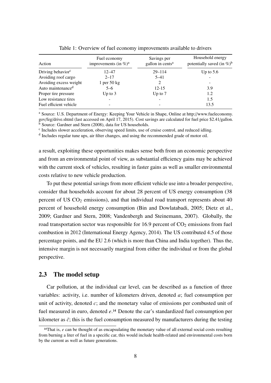| Action                        | Fuel economy<br>improvements (in $\%$ ) <sup>a</sup> | Savings per<br>gallon in cents <sup>a</sup> | Household energy<br>potentially saved (in $\%$ ) <sup>b</sup> |  |  |
|-------------------------------|------------------------------------------------------|---------------------------------------------|---------------------------------------------------------------|--|--|
| Driving behavior <sup>c</sup> | $12 - 47$                                            | $29 - 114$                                  | Up to $5.6$                                                   |  |  |
| Avoiding roof cargo           | $2 - 17$                                             | $5 - 41$                                    |                                                               |  |  |
| Avoiding excess weight        | 1 per $50$ kg                                        | 2                                           |                                                               |  |  |
| Auto maintenance <sup>d</sup> | $5 - 6$                                              | $12 - 15$                                   | 3.9                                                           |  |  |
| Proper tire pressure          | Up to $3$                                            | Up to $7$                                   | 1.2                                                           |  |  |
| Low resistance tires          |                                                      |                                             | 1.5                                                           |  |  |
| Fuel efficient vehicle        |                                                      |                                             | 13.5                                                          |  |  |

Table 1: Overview of fuel economy improvements available to drivers

<sup>a</sup> Source: U.S. Department of Energy: Keeping Your Vehicle in Shape, Online at http://www.fueleconomy. gov/feg/drive.shtml (last accessed on April 17, 2015). Cost savings are calculated for fuel price \$2.41/gallon. <sup>b</sup> Source: Gardner and Stern (2008), data for US households.

<sup>c</sup> Includes slower acceleration, observing speed limits, use of cruise control, and reduced idling.

<sup>d</sup> Includes regular tune ups, air filter changes, and using the recommended grade of motor oil.

a result, exploiting these opportunities makes sense both from an economic perspective and from an environmental point of view, as substantial efficiency gains may be achieved with the current stock of vehicles, resulting in faster gains as well as smaller environmental costs relative to new vehicle production.

To put these potential savings from more efficient vehicle use into a broader perspective, consider that households account for about 28 percent of US energy consumption (38 percent of US  $CO<sub>2</sub>$  emissions), and that individual road transport represents about 40 percent of household energy consumption (Bin and Dowlatabadi, 2005; Dietz et al., 2009; Gardner and Stern, 2008; Vandenbergh and Steinemann, 2007). Globally, the road transportation sector was responsible for  $16.9$  percent of  $CO<sub>2</sub>$  emissions from fuel combustion in 2012 (International Energy Agency, 2014). The US contributed 4.5 of those percentage points, and the EU 2.6 (which is more than China and India together). Thus the, intensive margin is not necessarily marginal from either the individual or from the global perspective.

#### 2.3 The model setup

Car pollution, at the individual car level, can be described as a function of three variables: activity, i.e. number of kilometers driven, denoted *a*; fuel consumption per unit of activity, denoted *c*; and the monetary value of emissions per combusted unit of fuel measured in euro, denoted *e*.14 Denote the car's standardized fuel consumption per kilometer as  $\bar{c}$ ; this is the fuel consumption measured by manufacturers during the testing

<sup>&</sup>lt;sup>14</sup>That is, *e* can be thought of as encapsulating the monetary value of all external social costs resulting from burning a liter of fuel in a specific car, this would include health-related and environmental costs born by the current as well as future generations.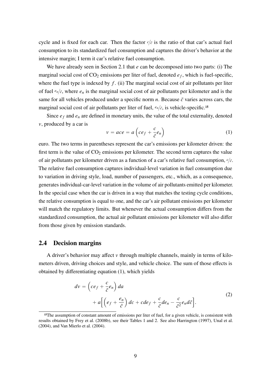cycle and is fixed for each car. Then the factor  $c/\bar{c}$  is the ratio of that car's actual fuel consumption to its standardized fuel consumption and captures the driver's behavior at the intensive margin; I term it car's relative fuel consumption.

We have already seen in Section 2.1 that *e* can be decomposed into two parts: (i) The marginal social cost of  $CO_2$  emissions per liter of fuel, denoted  $e_f$ , which is fuel-specific, where the fuel type is indexed by *f*. (ii) The marginal social cost of air pollutants per liter of fuel  $e_n/\bar{c}$ , where  $e_n$  is the marginal social cost of air pollutants per kilometer and is the same for all vehicles produced under a specific norm  $n$ . Because  $\bar{c}$  varies across cars, the marginal social cost of air pollutants per liter of fuel,  $e_n/\bar{c}$ , is vehicle-specific.<sup>15</sup>

Since  $e_f$  and  $e_n$  are defined in monetary units, the value of the total externality, denoted v, produced by a car is

$$
v = ace = a \left( ce_f + \frac{c}{\bar{c}}e_n\right)
$$
 (1)

euro. The two terms in parentheses represent the car's emissions per kilometer driven: the first term is the value of  $CO<sub>2</sub>$  emissions per kilometer. The second term captures the value of air pollutants per kilometer driven as a function of a car's relative fuel consumption,  $c/\bar{c}$ . The relative fuel consumption captures individual-level variation in fuel consumption due to variation in driving style, load, number of passengers, etc., which, as a consequence, generates individual-car-level variation in the volume of air pollutants emitted per kilometer. In the special case when the car is driven in a way that matches the testing cycle conditions, the relative consumption is equal to one, and the car's air pollutant emissions per kilometer will match the regulatory limits. But whenever the actual consumption differs from the standardized consumption, the actual air pollutant emissions per kilometer will also differ from those given by emission standards.

### 2.4 Decision margins

A driver's behavior may affect  $\nu$  through multiple channels, mainly in terms of kilometers driven, driving choices and style, and vehicle choice. The sum of those effects is obtained by differentiating equation (1), which yields

$$
dv = \left(ce_f + \frac{c}{\bar{c}}e_n\right)da
$$
  
+  $a\left[\left(e_f + \frac{e_n}{\bar{c}}\right)dc + cde_f + \frac{c}{\bar{c}}de_n - \frac{c}{\bar{c}^2}e_nd\bar{c}\right].$  (2)

<sup>&</sup>lt;sup>15</sup>The assumption of constant amount of emissions per liter of fuel, for a given vehicle, is consistent with results obtained by Frey et al. (2008b), see their Tables 1 and 2. See also Harrington (1997), Unal et al. (2004), and Van Mierlo et al. (2004).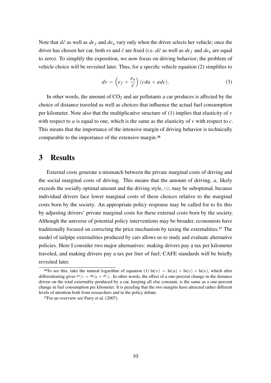Note that  $d\bar{c}$  as well as  $de_f$  and  $de_h$  vary only when the driver selects her vehicle; once the driver has chosen her car, both *e*s and  $\bar{c}$  are fixed (i.e.  $d\bar{c}$  as well as  $de_f$  and  $de_n$  are equal to zero). To simplify the exposition, we now focus on driving behavior; the problem of vehicle choice will be revisited later. Thus, for a specific vehicle equation (2) simplifies to

$$
dv = \left(e_f + \frac{e_n}{\bar{c}}\right)(cda + adc).
$$
 (3)

In other words, the amount of  $CO<sub>2</sub>$  and air pollutants a car produces is affected by the choice of distance traveled as well as choices that influence the actual fuel consumption per kilometer. Note also that the multiplicative structure of  $(1)$  implies that elasticity of  $\nu$ with respect to *a* is equal to one, which is the same as the elasticity of  $\nu$  with respect to *c*. This means that the importance of the intensive margin of driving behavior is technically comparable to the importance of the extensive margin.16

## 3 Results

External costs generate a mismatch between the private marginal costs of driving and the social marginal costs of driving. This means that the amount of driving, *a*, likely exceeds the socially optimal amount and the driving style,  $c/\bar{c}$ , may be suboptimal, because individual drivers face lower marginal costs of these choices relative to the marginal costs born by the society. An appropriate policy response may be called for to fix this by adjusting drivers' private marginal costs for these external costs born by the society. Although the universe of potential policy interventions may be broader, economists have traditionally focused on correcting the price mechanism by taxing the externalities.17 The model of tailpipe externalities produced by cars allows us to study and evaluate alternative policies. Here I consider two major alternatives: making drivers pay a tax per kilometer traveled, and making drivers pay a tax per liter of fuel; CAFE standards will be briefly revisited later.

<sup>&</sup>lt;sup>16</sup>To see this, take the natural logarithm of equation (1)  $\ln(v) = \ln(a) + \ln(c) + \ln(e)$ , which after differentiating gives  $dv/v = da/a + dc/c$ . In other words, the effect of a one-percent change in the distance driven on the total externality produced by a car, keeping all else constant, is the same as a one-percent change in fuel consumption per kilometer. It is puzzling that the two margins have attracted rather different levels of attention both from researchers and in the policy debate.

<sup>&</sup>lt;sup>17</sup>For an overview see Parry et al. (2007).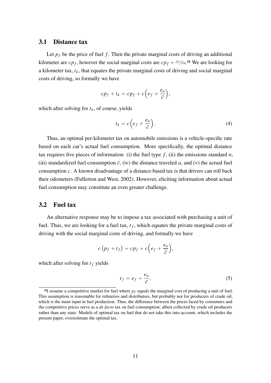#### 3.1 Distance tax

Let  $p_f$  be the price of fuel f. Then the private marginal costs of driving an additional kilometer are  $cp_f$ , however the social marginal costs are  $cp_f + \partial v/\partial a$ .<sup>18</sup> We are looking for a kilometer tax,  $t_k$ , that equates the private marginal costs of driving and social marginal costs of driving, so formally we have

$$
cp_f + t_k = cp_f + c\left(e_f + \frac{e_n}{\bar{c}}\right),
$$

which after solving for  $t_k$ , of course, yields

$$
t_k = c\left(e_f + \frac{e_n}{\bar{c}}\right). \tag{4}
$$

Thus, an optimal per-kilometer tax on automobile emissions is a vehicle-specific rate based on each car's actual fuel consumption. More specifically, the optimal distance tax requires five pieces of information: (i) the fuel type  $f$ , (ii) the emissions standard  $n$ , (iii) standardized fuel consumption  $\bar{c}$ , (iv) the distance traveled *a*, and (v) the actual fuel consumption *c*. A known disadvantage of a distance-based tax is that drivers can roll back their odometers (Fullerton and West, 2002). However, eliciting information about actual fuel consumption may constitute an even greater challenge.

#### 3.2 Fuel tax

An alternative response may be to impose a tax associated with purchasing a unit of fuel. Thus, we are looking for a fuel tax,  $t_f$ , which equates the private marginal costs of driving with the social marginal costs of driving, and formally we have

$$
c(p_f + t_f) = cp_f + c\left(e_f + \frac{e_n}{\bar{c}}\right),
$$

which after solving for  $t_f$  yields

$$
t_f = e_f + \frac{e_n}{\bar{c}}.\tag{5}
$$

<sup>&</sup>lt;sup>18</sup>I assume a competitive market for fuel where  $p_f$  equals the marginal cost of producing a unit of fuel. This assumption is reasonable for refineries and distributors, but probably not for producers of crude oil, which is the main input in fuel production. Thus, the difference between the prices faced by consumers and the competitive prices serve as a *de facto* tax on fuel consumption; albeit collected by crude oil producers rather than any state. Models of optimal tax on fuel that do not take this into account, which includes the present paper, overestimate the optimal tax.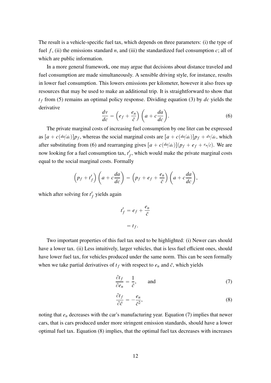The result is a vehicle-specific fuel tax, which depends on three parameters: (i) the type of fuel  $f$ , (ii) the emissions standard  $n$ , and (iii) the standardized fuel consumption  $c$ ; all of which are public information.

In a more general framework, one may argue that decisions about distance traveled and fuel consumption are made simultaneously. A sensible driving style, for instance, results in lower fuel consumption. This lowers emissions per kilometer, however it also frees up resources that may be used to make an additional trip. It is straightforward to show that *t <sup>f</sup>* from (5) remains an optimal policy response. Dividing equation (3) by *dc* yields the derivative

$$
\frac{dv}{dc} = \left(e_f + \frac{e_n}{\bar{c}}\right) \left(a + c\frac{da}{dc}\right).
$$
\n(6)

The private marginal costs of increasing fuel consumption by one liter can be expressed as  $[a + c(da/dc)]p_f$ , whereas the social marginal costs are  $[a + c(da/dc)]p_f + dv/dc$ , which after substituting from (6) and rearranging gives  $\left[a + c\left(\frac{da}{dc}\right)\right](p_f + e_f + e_n/\bar{c})$ . We are now looking for a fuel consumption tax, *t* 1  $f<sub>f</sub>$ , which would make the private marginal costs equal to the social marginal costs. Formally

$$
\left(p_f+t'_f\right)\left(a+c\frac{da}{dc}\right)=\left(p_f+e_f+\frac{e_n}{\bar{c}}\right)\left(a+c\frac{da}{dc}\right),\,
$$

which after solving for *t*<sup>'</sup> *f* yields again

$$
t'_{f} = e_{f} + \frac{e_{n}}{\bar{c}}
$$

$$
= t_{f}.
$$

Two important properties of this fuel tax need to be highlighted: (i) Newer cars should have a lower tax. (ii) Less intuitively, larger vehicles, that is less fuel efficient ones, should have lower fuel tax, for vehicles produced under the same norm. This can be seen formally when we take partial derivatives of  $t_f$  with respect to  $e_n$  and  $\bar{c}$ , which yields

$$
\frac{\partial t_f}{\partial e_n} = \frac{1}{\bar{c}}, \quad \text{and} \tag{7}
$$

$$
\frac{\partial t_f}{\partial \bar{c}} = -\frac{e_n}{\bar{c}^2},\tag{8}
$$

noting that *e<sup>n</sup>* decreases with the car's manufacturing year. Equation (7) implies that newer cars, that is cars produced under more stringent emission standards, should have a lower optimal fuel tax. Equation (8) implies, that the optimal fuel tax decreases with increases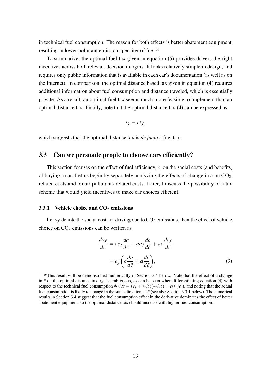in technical fuel consumption. The reason for both effects is better abatement equipment, resulting in lower pollutant emissions per liter of fuel.19

To summarize, the optimal fuel tax given in equation (5) provides drivers the right incentives across both relevant decision margins. It looks relatively simple in design, and requires only public information that is available in each car's documentation (as well as on the Internet). In comparison, the optimal distance based tax given in equation (4) requires additional information about fuel consumption and distance traveled, which is essentially private. As a result, an optimal fuel tax seems much more feasible to implement than an optimal distance tax. Finally, note that the optimal distance tax (4) can be expressed as

$$
t_k = ct_f,
$$

which suggests that the optimal distance tax is *de facto* a fuel tax.

#### 3.3 Can we persuade people to choose cars efficiently?

This section focuses on the effect of fuel efficiency,  $\bar{c}$ , on the social costs (and benefits) of buying a car. Let us begin by separately analyzing the effects of change in  $\bar{c}$  on CO<sub>2</sub>related costs and on air pollutants-related costs. Later, I discuss the possibility of a tax scheme that would yield incentives to make car choices efficient.

#### 3.3.1 Vehicle choice and  $CO<sub>2</sub>$  emissions

Let  $v_f$  denote the social costs of driving due to  $CO_2$  emissions, then the effect of vehicle choice on  $CO<sub>2</sub>$  emissions can be written as

$$
\frac{dv_f}{d\bar{c}} = ce_f \frac{da}{d\bar{c}} + ae_f \frac{dc}{d\bar{c}} + ac \frac{de_f}{d\bar{c}}
$$

$$
= e_f \left(c \frac{da}{d\bar{c}} + a \frac{dc}{d\bar{c}}\right),\tag{9}
$$

<sup>19</sup>This result will be demonstrated numerically in Section 3.4 below. Note that the effect of a change in  $\bar{c}$  on the optimal distance tax,  $t_k$ , is ambiguous, as can be seen when differentiating equation (4) with respect to the technical fuel consumption  $dt_k/d\bar{c} = (e_f + e_n/\bar{c})(dc/d\bar{c}) - c(e_n/\bar{c}^2)$ , and noting that the actual fuel consumption is likely to change in the same direction as  $\bar{c}$  (see also Section 3.3.1 below). The numerical results in Section 3.4 suggest that the fuel consumption effect in the derivative dominates the effect of better abatement equipment, so the optimal distance tax should increase with higher fuel consumption.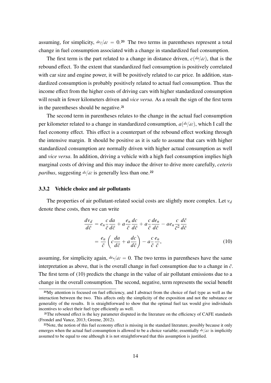assuming, for simplicity,  $de_{f}/d\bar{c}=0.20$  The two terms in parentheses represent a total change in fuel consumption associated with a change in standardized fuel consumption.

The first term is the part related to a change in distance driven,  $c(da/d\bar{c})$ , that is the rebound effect. To the extent that standardized fuel consumption is positively correlated with car size and engine power, it will be positively related to car price. In addition, standardized consumption is probably positively related to actual fuel consumption. Thus the income effect from the higher costs of driving cars with higher standardized consumption will result in fewer kilometers driven and *vice versa*. As a result the sign of the first term in the parentheses should be negative.21

The second term in parentheses relates to the change in the actual fuel consumption per kilometer related to a change in standardized consumption,  $a\left(\frac{dc}{d\bar{c}}\right)$ , which I call the fuel economy effect. This effect is a counterpart of the rebound effect working through the intensive margin. It should be positive as it is safe to assume that cars with higher standardized consumption are normally driven with higher actual consumption as well and *vice versa*. In addition, driving a vehicle with a high fuel consumption implies high marginal costs of driving and this may induce the driver to drive more carefully, *ceteris paribus*, suggesting  $dc/d\bar{c}$  is generally less than one.<sup>22</sup>

#### 3.3.2 Vehicle choice and air pollutants

The properties of air pollutant-related social costs are slightly more complex. Let  $v_d$ denote these costs, then we can write

$$
\frac{dv_d}{d\bar{c}} = e_n \frac{c}{\bar{c}} \frac{da}{d\bar{c}} + a \frac{e_n}{\bar{c}} \frac{dc}{d\bar{c}} + a \frac{c}{\bar{c}} \frac{de_n}{d\bar{c}} - ae_n \frac{c}{\bar{c}^2} \frac{d\bar{c}}{d\bar{c}}
$$

$$
= \frac{e_n}{\bar{c}} \left( c \frac{da}{d\bar{c}} + a \frac{dc}{d\bar{c}} \right) - a \frac{c}{\bar{c}} \frac{e_n}{\bar{c}},\tag{10}
$$

assuming, for simplicity again,  $de_n/d\bar{c}=0$ . The two terms in parentheses have the same interpretation as above, that is the overall change in fuel consumption due to a change in  $\bar{c}$ . The first term of (10) predicts the change in the value of air pollutant emissions due to a change in the overall consumption. The second, negative, term represents the social benefit

<sup>20</sup>My attention is focused on fuel efficiency, and I abstract from the choice of fuel type as well as the interaction between the two. This affects only the simplicity of the exposition and not the substance or generality of the results. It is straightforward to show that the optimal fuel tax would give individuals incentives to select their fuel type efficiently as well.

<sup>21</sup>The rebound effect is the key parameter disputed in the literature on the efficiency of CAFE standards (Frondel and Vance, 2013; Greene, 2012).

<sup>22</sup>Note, the notion of this fuel economy effect is missing in the standard literature, possibly because it only emerges when the actual fuel consumption is allowed to be a choice variable; essentially  $dc/d\epsilon$  is implicitly assumed to be equal to one although it is not straightforward that this assumption is justified.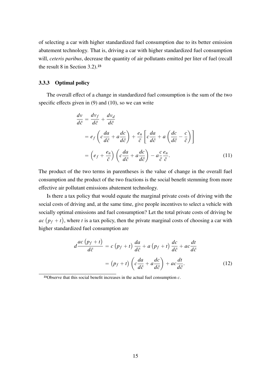of selecting a car with higher standardized fuel consumption due to its better emission abatement technology. That is, driving a car with higher standardized fuel consumption will, *ceteris paribus*, decrease the quantity of air pollutants emitted per liter of fuel (recall the result 8 in Section 3.2).23

#### 3.3.3 Optimal policy

The overall effect of a change in standardized fuel consumption is the sum of the two specific effects given in (9) and (10), so we can write

$$
\frac{dv}{d\bar{c}} = \frac{dv_f}{d\bar{c}} + \frac{dv_d}{d\bar{c}}
$$
\n
$$
= e_f \left( c \frac{da}{d\bar{c}} + a \frac{dc}{d\bar{c}} \right) + \frac{e_n}{\bar{c}} \left[ c \frac{da}{d\bar{c}} + a \left( \frac{dc}{d\bar{c}} - \frac{c}{\bar{c}} \right) \right]
$$
\n
$$
= \left( e_f + \frac{e_n}{\bar{c}} \right) \left( c \frac{da}{d\bar{c}} + a \frac{dc}{d\bar{c}} \right) - a \frac{c}{\bar{c}} \frac{e_n}{\bar{c}}.
$$
\n(11)

The product of the two terms in parentheses is the value of change in the overall fuel consumption and the product of the two fractions is the social benefit stemming from more effective air pollutant emissions abatement technology.

Is there a tax policy that would equate the marginal private costs of driving with the social costs of driving and, at the same time, give people incentives to select a vehicle with socially optimal emissions and fuel consumption? Let the total private costs of driving be  $ac(p_f + t)$ , where *t* is a tax policy, then the private marginal costs of choosing a car with higher standardized fuel consumption are

$$
d\frac{ac(p_f+t)}{d\bar{c}} = c(p_f+t)\frac{da}{d\bar{c}} + a(p_f+t)\frac{dc}{d\bar{c}} + ac\frac{dt}{d\bar{c}}
$$

$$
= (p_f+t)\left(c\frac{da}{d\bar{c}} + a\frac{dc}{d\bar{c}}\right) + ac\frac{dt}{d\bar{c}}.
$$
(12)

<sup>23</sup>Observe that this social benefit increases in the actual fuel consumption *c*.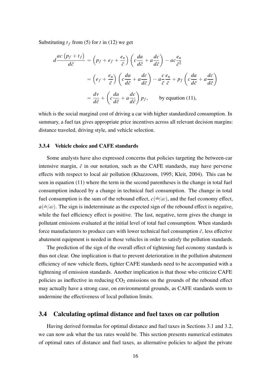Substituting  $t_f$  from (5) for *t* in (12) we get

$$
d\frac{ac(p_f + t_f)}{d\bar{c}} = (p_f + e_f + \frac{e_n}{\bar{c}}) \left( c \frac{da}{d\bar{c}} + a \frac{dc}{d\bar{c}} \right) - ac \frac{e_n}{\bar{c}^2}
$$
  

$$
= (e_f + \frac{e_n}{\bar{c}}) \left( c \frac{da}{d\bar{c}} + a \frac{dc}{d\bar{c}} \right) - a \frac{c}{\bar{c}} \frac{e_n}{\bar{c}} + p_f \left( c \frac{da}{d\bar{c}} + a \frac{dc}{d\bar{c}} \right)
$$
  

$$
= \frac{dv}{d\bar{c}} + \left( c \frac{da}{d\bar{c}} + a \frac{dc}{d\bar{c}} \right) p_f, \qquad \text{by equation (11),}
$$

which is the social marginal cost of driving a car with higher standardized consumption. In summary, a fuel tax gives appropriate price incentives across all relevant decision margins: distance traveled, driving style, and vehicle selection.

#### 3.3.4 Vehicle choice and CAFE standards

Some analysts have also expressed concerns that policies targeting the between-car intensive margin,  $\bar{c}$  in our notation, such as the CAFE standards, may have perverse effects with respect to local air pollution (Khazzoom, 1995; Kleit, 2004). This can be seen in equation (11) where the term in the second parentheses is the change in total fuel consumption induced by a change in technical fuel consumption. The change in total fuel consumption is the sum of the rebound effect,  $c(da/d\bar{c})$ , and the fuel economy effect,  $a$  $(dc/d\bar{c})$ . The sign is indeterminate as the expected sign of the rebound effect is negative, while the fuel efficiency effect is positive. The last, negative, term gives the change in pollutant emissions evaluated at the initial level of total fuel consumption. When standards force manufacturers to produce cars with lower technical fuel consumption  $\bar{c}$ , less effective abatement equipment is needed in those vehicles in order to satisfy the pollution standards.

The prediction of the sign of the overall effect of tightening fuel economy standards is thus not clear. One implication is that to prevent deterioration in the pollution abatement efficiency of new vehicle fleets, tighter CAFE standards need to be accompanied with a tightening of emission standards. Another implication is that those who criticize CAFE policies as ineffective in reducing  $CO<sub>2</sub>$  emissions on the grounds of the rebound effect may actually have a strong case, on environmental grounds, as CAFE standards seem to undermine the effectiveness of local pollution limits.

#### 3.4 Calculating optimal distance and fuel taxes on car pollution

Having derived formulas for optimal distance and fuel taxes in Sections 3.1 and 3.2, we can now ask what the tax rates would be. This section presents numerical estimates of optimal rates of distance and fuel taxes, as alternative policies to adjust the private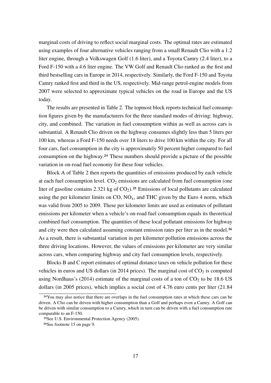marginal costs of driving to reflect social marginal costs. The optimal rates are estimated using examples of four alternative vehicles ranging from a small Renault Clio with a 1.2 liter engine, through a Volkswagen Golf (1.6 liter), and a Toyota Camry (2.4 liter), to a Ford F-150 with a 4.6 liter engine. The VW Golf and Renault Clio ranked as the first and third bestselling cars in Europe in 2014, respectively. Similarly, the Ford F-150 and Toyota Camry ranked first and third in the US, respectively. Mid-range petrol-engine models from 2007 were selected to approximate typical vehicles on the road in Europe and the US today.

The results are presented in Table 2. The topmost block reports technical fuel consumption figures given by the manufacturers for the three standard modes of driving: highway, city, and combined. The variation in fuel consumption within as well as across cars is substantial. A Renault Clio driven on the highway consumes slightly less than 5 liters per 100 km, whereas a Ford F-150 needs over 18 liters to drive 100 km within the city. For all four cars, fuel consumption in the city is approximately 50 percent higher compared to fuel consumption on the highway.24 These numbers should provide a picture of the possible variation in on-road fuel economy for these four vehicles.

Block A of Table 2 then reports the quantities of emissions produced by each vehicle at each fuel consumption level.  $CO<sub>2</sub>$  emissions are calculated from fuel consumption (one liter of gasoline contains 2.321 kg of  $CO<sub>2</sub>$ ).<sup>25</sup> Emissions of local pollutants are calculated using the per kilometer limits on  $CO$ ,  $NO<sub>x</sub>$ , and THC given by the Euro 4 norm, which was valid from 2005 to 2009. These per kilometer limits are used as estimates of pollutant emissions per kilometer when a vehicle's on-road fuel consumption equals its theoretical combined fuel consumption. The quantities of these local pollutant emissions for highway and city were then calculated assuming constant emission rates per liter as in the model.<sup>26</sup> As a result, there is substantial variation in per kilometer pollution emissions across the three driving locations. However, the values of emissions per kilometer are very similar across cars, when comparing highway and city fuel consumption levels, respectively.

Blocks B and C report estimates of optimal distance taxes on vehicle pollution for these vehicles in euros and US dollars (in 2014 prices). The marginal cost of  $CO<sub>2</sub>$  is computed using Nordhaus's (2014) estimate of the marginal costs of a ton of  $CO<sub>2</sub>$  to be 18.6 US dollars (in 2005 prices), which implies a social cost of 4.76 euro cents per liter (21.84

<sup>&</sup>lt;sup>24</sup>You may also notice that there are overlaps in the fuel consumption rates at which these cars can be driven. A Clio can be driven with higher consumption than a Golf and perhaps even a Camry. A Golf can be driven with similar consumption to a Camry, which in turn can be driven with a fuel consumption rate comparable to an F-150.

<sup>25</sup>See U.S. Environmental Protection Agency (2005).

<sup>26</sup>See footnote 15 on page 9.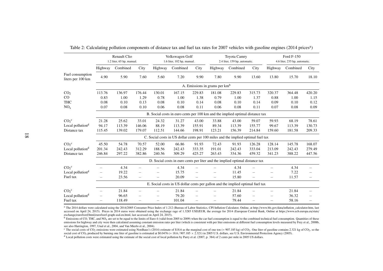|                                       | <b>Renault Clio</b><br>1.2 liter, 65 hp, manual.                               |                                                                               | Volkswagen Golf<br>1.6 liter, 102 hp, manual. |         | <b>Toyota Camry</b><br>2.4 liter, 159 hp, automatic.                              |        | Ford F-150<br>4.6 liter, 235 hp, automatic. |          |                          |         |          |                   |  |
|---------------------------------------|--------------------------------------------------------------------------------|-------------------------------------------------------------------------------|-----------------------------------------------|---------|-----------------------------------------------------------------------------------|--------|---------------------------------------------|----------|--------------------------|---------|----------|-------------------|--|
|                                       | Highway                                                                        | Combined                                                                      | City                                          | Highway | Combined                                                                          | City   | Highway                                     | Combined | City                     | Highway | Combined | City              |  |
| Fuel consumption<br>liters per 100 km | 4.90                                                                           | 5.90                                                                          | 7.60                                          | 5.60    | 7.20                                                                              | 9.90   | 7.80                                        | 9.90     | 13.60                    | 13.80   | 15.70    | 18.10             |  |
|                                       | A. Emissions in grams per km <sup>b</sup>                                      |                                                                               |                                               |         |                                                                                   |        |                                             |          |                          |         |          |                   |  |
| CO <sub>2</sub>                       | 113.76                                                                         | 136.97                                                                        | 176.44                                        | 130.01  | 167.15                                                                            | 229.83 | 181.08                                      | 229.83   | 315.73                   | 320.37  | 364.48   | 420.20            |  |
| $\rm CO$                              | 0.83                                                                           | 1.00                                                                          | 1.29                                          | 0.78    | 1.00                                                                              | 1.38   | 0.79                                        | 1.00     | 1.37                     | 0.88    | 1.00     | 1.15              |  |
| <b>THC</b>                            | 0.08                                                                           | 0.10                                                                          | 0.13                                          | 0.08    | 0.10                                                                              | 0.14   | 0.08                                        | 0.10     | 0.14                     | 0.09    | 0.10     | 0.12              |  |
| NO <sub>x</sub>                       | 0.07                                                                           | 0.08                                                                          | 0.10                                          | 0.06    | 0.08                                                                              | 0.11   | 0.06                                        | 0.08     | 0.11                     | 0.07    | 0.08     | 0.09              |  |
|                                       |                                                                                | B. Social costs in euro cents per 100 km and the implied optimal distance tax |                                               |         |                                                                                   |        |                                             |          |                          |         |          |                   |  |
| $CO2$ <sup>c</sup>                    | 21.28                                                                          | 25.62                                                                         | 33.01                                         | 24.32   | 31.27                                                                             | 43.00  | 33.88                                       | 43.00    | 59.07                    | 59.93   | 68.19    | 78.61             |  |
| Local pollution <sup>d</sup>          | 94.17                                                                          | 113.39                                                                        | 146.06                                        | 88.19   | 113.39                                                                            | 155.91 | 89.34                                       | 113.39   | 155.77                   | 99.67   | 113.39   | 130.73            |  |
| Distance tax                          | 115.45                                                                         | 139.02                                                                        | 179.07                                        | 112.51  | 144.66                                                                            | 198.91 | 123.21                                      | 156.39   | 214.84                   | 159.60  | 181.58   | 209.33            |  |
|                                       |                                                                                |                                                                               |                                               |         | C. Social costs in US dollar cents per 100 miles and the implied optimal fuel tax |        |                                             |          |                          |         |          |                   |  |
| $CO2$ <sup>c</sup>                    | 45.50                                                                          | 54.78                                                                         | 70.57                                         | 52.00   | 66.86                                                                             | 91.93  | 72.43                                       | 91.93    | 126.28                   | 128.14  | 145.78   | 168.07            |  |
| Local pollution <sup>d</sup>          | 201.34                                                                         | 242.43                                                                        | 312.29                                        | 188.56  | 242.43                                                                            | 333.35 | 191.01                                      | 242.43   | 333.04                   | 213.09  | 242.43   | 279.49            |  |
| Distance tax                          | 246.84                                                                         | 297.22                                                                        | 382.86                                        | 240.56  | 309.29                                                                            | 425.27 | 263.43                                      | 334.36   | 459.32                   | 341.23  | 388.22   | 447.56            |  |
|                                       | D. Social costs in euro cents per liter and the implied optimal distance tax   |                                                                               |                                               |         |                                                                                   |        |                                             |          |                          |         |          |                   |  |
| $CO2$ <sup>c</sup>                    |                                                                                | 4.34                                                                          | $\overline{\phantom{0}}$                      |         | 4.34                                                                              |        |                                             | 4.34     |                          |         | 4.34     |                   |  |
| Local pollution <sup>d</sup>          |                                                                                | 19.22                                                                         |                                               |         | 15.75                                                                             |        |                                             | 11.45    |                          |         | 7.22     |                   |  |
| Fuel tax                              |                                                                                | 23.56                                                                         | $\qquad \qquad -$                             |         | 20.09                                                                             |        | $\overline{\phantom{0}}$                    | 15.80    | $\overline{\phantom{0}}$ |         | 11.57    | $\qquad \qquad -$ |  |
|                                       | E. Social costs in US dollar cents per gallon and the implied optimal fuel tax |                                                                               |                                               |         |                                                                                   |        |                                             |          |                          |         |          |                   |  |
| $CO2$ <sup>c</sup>                    | $\overline{\phantom{0}}$                                                       | 21.84                                                                         | $\overline{\phantom{0}}$                      |         | 21.84                                                                             |        | $\overline{\phantom{0}}$                    | 21.84    |                          |         | 21.84    |                   |  |
| Local pollution <sup>d</sup>          | $\overline{\phantom{0}}$                                                       | 96.65                                                                         | $\overline{\phantom{0}}$                      |         | 79.20                                                                             |        |                                             | 57.60    |                          |         | 36.32    |                   |  |
| Fuel tax                              |                                                                                | 118.49                                                                        | $\overline{\phantom{0}}$                      |         | 101.04                                                                            |        |                                             | 79.44    |                          |         | 58.16    |                   |  |

Table 2: Calculating pollution components of distance tax and fuel tax rates for 2007 vehicles with gasoline engines (2014 prices<sup>a</sup>)

<sup>a</sup> The 2014 dollars were calculated using the 2014/2005 Consumer Price Index of 1.212 (Bureau of Labor Statistics, CPI Inflation Calculator, Online, at http://www.bls.gov/data/inflation\_calculator.htm, last accessed on April 24, 2015). Prices in 2014 euros were obtained using the exchange rage of 1.3285 USD/EUR, the average for 2014 (European Central Bank, Online at https://www.ecb.europa.eu/stats/ exchange/eurofxref/html/eurofxref-graph-usd.en.html, last accessed on April 24, 2015).

 $\rm b$  Emissions of CO, THC, and NO<sub>x</sub> are set to be equal to the limits of Euro 4 (valid from 2005 to 2009) when the car fuel consumption is equal to the combined technical fuel consumption. Quantities of these emissions for highway and city were then calculated assuming constant emission rates per liter (which is consistent with per liter emissions at different fuel consumption levels measured by Frey et al., 2008b, see also Harrington, 1997, Unal et al., 2004, and Van Mierlo et al., 2004).

<sup>c</sup> The social costs of CO<sub>2</sub> emissions were estimated using Nordhaus's (2014) estimate of \$18.6 as the marginal cost of one ton (= 907.185 kg) of CO<sub>2</sub>. One liter of gasoline contains 2.321 kg of CO<sub>2</sub>, so the social cost of CO<sub>2</sub> produced by burning one liter of gasoline is estimated at \$0.0476 (= 18.6 / 907.185  $\times$  2.321) in 2005 U.S. dollars, see U.S. Environmental Protection Agency (2005).

<sup>d</sup> Local pollution costs were estimated using the estimate of the social cost of local pollution by Parry et al. (2007, p. 384) of 2 cents per mile in 2005 US dollars.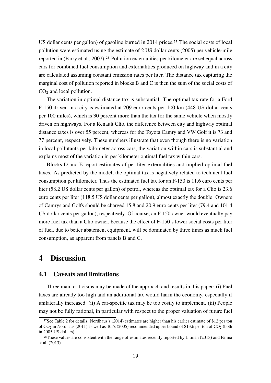US dollar cents per gallon) of gasoline burned in 2014 prices.27 The social costs of local pollution were estimated using the estimate of 2 US dollar cents (2005) per vehicle-mile reported in (Parry et al., 2007).28 Pollution externalities per kilometer are set equal across cars for combined fuel consumption and externalities produced on highway and in a city are calculated assuming constant emission rates per liter. The distance tax capturing the marginal cost of pollution reported in blocks B and C is then the sum of the social costs of  $CO<sub>2</sub>$  and local pollution.

The variation in optimal distance tax is substantial. The optimal tax rate for a Ford F-150 driven in a city is estimated at 209 euro cents per 100 km (448 US dollar cents per 100 miles), which is 30 percent more than the tax for the same vehicle when mostly driven on highways. For a Renault Clio, the difference between city and highway optimal distance taxes is over 55 percent, whereas for the Toyota Camry and VW Golf it is 73 and 77 percent, respectively. These numbers illustrate that even though there is no variation in local pollutants per kilometer across cars, the variation within cars is substantial and explains most of the variation in per kilometer optimal fuel tax within cars.

Blocks D and E report estimates of per liter externalities and implied optimal fuel taxes. As predicted by the model, the optimal tax is negatively related to technical fuel consumption per kilometer. Thus the estimated fuel tax for an F-150 is 11.6 euro cents per liter (58.2 US dollar cents per gallon) of petrol, whereas the optimal tax for a Clio is 23.6 euro cents per liter (118.5 US dollar cents per gallon), almost exactly the double. Owners of Camrys and Golfs should be charged 15.8 and 20.9 euro cents per liter (79.4 and 101.4 US dollar cents per gallon), respectively. Of course, an F-150 owner would eventually pay more fuel tax than a Clio owner, because the effect of F-150's lower social costs per liter of fuel, due to better abatement equipment, will be dominated by three times as much fuel consumption, as apparent from panels B and C.

## 4 Discussion

### 4.1 Caveats and limitations

Three main criticisms may be made of the approach and results in this paper: (i) Fuel taxes are already too high and an additional tax would harm the economy, especially if unilaterally increased. (ii) A car-specific tax may be too costly to implement. (iii) People may not be fully rational, in particular with respect to the proper valuation of future fuel

<sup>27</sup>See Table 2 for details. Nordhaus's (2014) estimates are higher than his earlier estimate of \$12 per ton of  $CO_2$  in Nordhaus (2011) as well as Tol's (2005) recommended upper bound of \$13.6 per ton of  $CO_2$  (both in 2005 US dollars).

<sup>28</sup>These values are consistent with the range of estimates recently reported by Litman (2013) and Palma et al. (2013).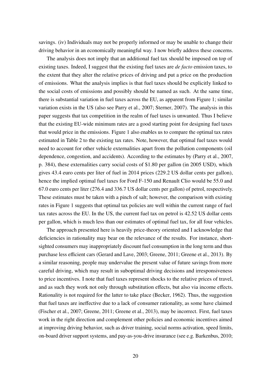savings. (iv) Individuals may not be properly informed or may be unable to change their driving behavior in an economically meaningful way. I now briefly address these concerns.

The analysis does not imply that an additional fuel tax should be imposed on top of existing taxes. Indeed, I suggest that the existing fuel taxes are *de facto* emission taxes, to the extent that they alter the relative prices of driving and put a price on the production of emissions. What the analysis implies is that fuel taxes should be explicitly linked to the social costs of emissions and possibly should be named as such. At the same time, there is substantial variation in fuel taxes across the EU, as apparent from Figure 1; similar variation exists in the US (also see Parry et al., 2007; Sterner, 2007). The analysis in this paper suggests that tax competition in the realm of fuel taxes is unwanted. Thus I believe that the existing EU-wide minimum rates are a good starting point for designing fuel taxes that would price in the emissions. Figure 1 also enables us to compare the optimal tax rates estimated in Table 2 to the existing tax rates. Note, however, that optimal fuel taxes would need to account for other vehicle externalities apart from the pollution components (oil dependence, congestion, and accidents). According to the estimates by (Parry et al., 2007, p. 384), these externalities carry social costs of \$1.80 per gallon (in 2005 USD), which gives 43.4 euro cents per liter of fuel in 2014 prices (229.2 US dollar cents per gallon), hence the implied optimal fuel taxes for Ford F-150 and Renault Clio would be 55.0 and 67.0 euro cents per liter (276.4 and 336.7 US dollar cents per gallon) of petrol, respectively. These estimates must be taken with a pinch of salt; however, the comparison with existing rates in Figure 1 suggests that optimal tax policies are well within the current range of fuel tax rates across the EU. In the US, the current fuel tax on petrol is 42.52 US dollar cents per gallon, which is much less than our estimates of optimal fuel tax, for all four vehicles.

The approach presented here is heavily price-theory oriented and I acknowledge that deficiencies in rationality may bear on the relevance of the results. For instance, shortsighted consumers may inappropriately discount fuel consumption in the long term and thus purchase less efficient cars (Gerard and Lave, 2003; Greene, 2011; Greene et al., 2013). By a similar reasoning, people may undervalue the present value of future savings from more careful driving, which may result in suboptimal driving decisions and irresponsiveness to price incentives. I note that fuel taxes represent shocks to the relative prices of travel, and as such they work not only through substitution effects, but also via income effects. Rationality is not required for the latter to take place (Becker, 1962). Thus, the suggestion that fuel taxes are ineffective due to a lack of consumer rationality, as some have claimed (Fischer et al., 2007; Greene, 2011; Greene et al., 2013), may be incorrect. First, fuel taxes work in the right direction and complement other policies and economic incentives aimed at improving driving behavior, such as driver training, social norms activation, speed limits, on-board driver support systems, and pay-as-you-drive insurance (see e.g. Barkenbus, 2010;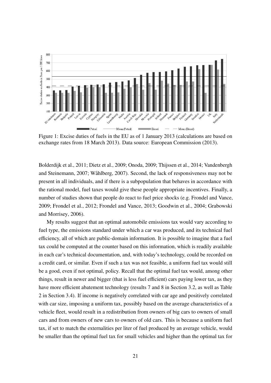

Figure 1: Excise duties of fuels in the EU as of 1 January 2013 (calculations are based on exchange rates from 18 March 2013). Data source: European Commission (2013).

Bolderdijk et al., 2011; Dietz et al., 2009; Onoda, 2009; Thijssen et al., 2014; Vandenbergh and Steinemann, 2007; Wåhlberg, 2007). Second, the lack of responsiveness may not be present in all individuals, and if there is a subpopulation that behaves in accordance with the rational model, fuel taxes would give these people appropriate incentives. Finally, a number of studies shown that people do react to fuel price shocks (e.g. Frondel and Vance, 2009; Frondel et al., 2012; Frondel and Vance, 2013; Goodwin et al., 2004; Grabowski and Morrisey, 2006).

My results suggest that an optimal automobile emissions tax would vary according to fuel type, the emissions standard under which a car was produced, and its technical fuel efficiency, all of which are public-domain information. It is possible to imagine that a fuel tax could be computed at the counter based on this information, which is readily available in each car's technical documentation, and, with today's technology, could be recorded on a credit card, or similar. Even if such a tax was not feasible, a uniform fuel tax would still be a good, even if not optimal, policy. Recall that the optimal fuel tax would, among other things, result in newer and bigger (that is less fuel efficient) cars paying lower tax, as they have more efficient abatement technology (results 7 and 8 in Section 3.2, as well as Table 2 in Section 3.4). If income is negatively correlated with car age and positively correlated with car size, imposing a uniform tax, possibly based on the average characteristics of a vehicle fleet, would result in a redistribution from owners of big cars to owners of small cars and from owners of new cars to owners of old cars. This is because a uniform fuel tax, if set to match the externalities per liter of fuel produced by an average vehicle, would be smaller than the optimal fuel tax for small vehicles and higher than the optimal tax for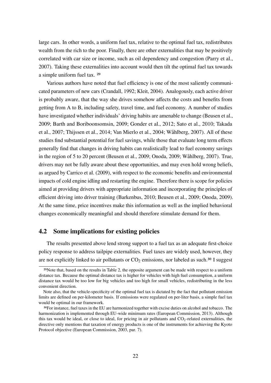large cars. In other words, a uniform fuel tax, relative to the optimal fuel tax, redistributes wealth from the rich to the poor. Finally, there are other externalities that may be positively correlated with car size or income, such as oil dependency and congestion (Parry et al., 2007). Taking these externalities into account would then tilt the optimal fuel tax towards a simple uniform fuel tax. 29

Various authors have noted that fuel efficiency is one of the most saliently communicated parameters of new cars (Crandall, 1992; Kleit, 2004). Analogously, each active driver is probably aware, that the way she drives somehow affects the costs and benefits from getting from A to B, including safety, travel time, and fuel economy. A number of studies have investigated whether individuals' driving habits are amenable to change (Beusen et al., 2009; Barth and Boriboonsomsin, 2009; Gonder et al., 2012; Sato et al., 2010; Takada et al., 2007; Thijssen et al., 2014; Van Mierlo et al., 2004; Wåhlberg, 2007). All of these studies find substantial potential for fuel savings, while those that evaluate long term effects generally find that changes in driving habits can realistically lead to fuel economy savings in the region of 5 to 20 percent (Beusen et al., 2009; Onoda, 2009; Wåhlberg, 2007). True, drivers may not be fully aware about these opportunities, and may even hold wrong beliefs, as argued by Carrico et al. (2009), with respect to the economic benefits and environmental impacts of cold engine idling and restarting the engine. Therefore there is scope for policies aimed at providing drivers with appropriate information and incorporating the principles of efficient driving into driver training (Barkenbus, 2010; Beusen et al., 2009; Onoda, 2009). At the same time, price incentives make this information as well as the implied behavioral changes economically meaningful and should therefore stimulate demand for them.

## 4.2 Some implications for existing policies

The results presented above lend strong support to a fuel tax as an adequate first-choice policy response to address tailpipe externalities. Fuel taxes are widely used, however, they are not explicitly linked to air pollutants or  $CO<sub>2</sub>$  emissions, nor labeled as such.<sup>30</sup> I suggest

<sup>29</sup>Note that, based on the results in Table 2, the opposite argument can be made with respect to a uniform distance tax. Because the optimal distance tax is higher for vehicles with high fuel consumption, a uniform distance tax would be too low for big vehicles and too high for small vehicles, redistributing in the less convenient direction.

Note also, that the vehicle-specificity of the optimal fuel tax is dictated by the fact that pollutant emission limits are defined on per-kilometer basis. If emissions were regulated on per-liter basis, a simple fuel tax would be optimal in our framework.

<sup>30</sup>For instance, fuel taxes in the EU are harmonized together with excise duties on alcohol and tobacco. The harmonization is implemented through EU-wide minimum rates (European Commission, 2013). Although this tax would be ideal, or close to ideal, for pricing in air pollutants and  $CO<sub>2</sub>$ -related externalities, the directive only mentions that taxation of energy products is one of the instruments for achieving the Kyoto Protocol objective (European Commission, 2003, par. 7).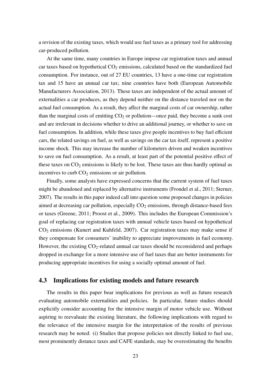a revision of the existing taxes, which would use fuel taxes as a primary tool for addressing car-produced pollution.

At the same time, many countries in Europe impose car registration taxes and annual car taxes based on hypothetical  $CO<sub>2</sub>$  emissions, calculated based on the standardized fuel consumption. For instance, out of 27 EU countries, 13 have a one-time car registration tax and 15 have an annual car tax; nine countries have both (European Automobile Manufacturers Association, 2013). These taxes are independent of the actual amount of externalities a car produces, as they depend neither on the distance traveled nor on the actual fuel consumption. As a result, they affect the marginal costs of car ownership, rather than the marginal costs of emitting  $CO<sub>2</sub>$  or pollution—once paid, they become a sunk cost and are irrelevant in decisions whether to drive an additional journey, or whether to save on fuel consumption. In addition, while these taxes give people incentives to buy fuel efficient cars, the related savings on fuel, as well as savings on the car tax itself, represent a positive income shock. This may increase the number of kilometers driven and weaken incentives to save on fuel consumption. As a result, at least part of the potential positive effect of these taxes on  $CO<sub>2</sub>$  emissions is likely to be lost. These taxes are thus hardly optimal as incentives to curb  $CO<sub>2</sub>$  emissions or air pollution.

Finally, some analysts have expressed concerns that the current system of fuel taxes might be abandoned and replaced by alternative instruments (Frondel et al., 2011; Sterner, 2007). The results in this paper indeed call into question some proposed changes in policies aimed at decreasing car pollution, especially  $CO<sub>2</sub>$  emissions, through distance-based fees or taxes (Greene, 2011; Proost et al., 2009). This includes the European Commission's goal of replacing car registration taxes with annual vehicle taxes based on hypothetical  $CO<sub>2</sub>$  emissions (Kunert and Kuhfeld, 2007). Car registration taxes may make sense if they compensate for consumers' inability to appreciate improvements in fuel economy. However, the existing  $CO_2$ -related annual car taxes should be reconsidered and perhaps dropped in exchange for a more intensive use of fuel taxes that are better instruments for producing appropriate incentives for using a socially optimal amount of fuel.

#### 4.3 Implications for existing models and future research

The results in this paper bear implications for previous as well as future research evaluating automobile externalities and policies. In particular, future studies should explicitly consider accounting for the intensive margin of motor vehicle use. Without aspiring to reevaluate the existing literature, the following implications with regard to the relevance of the intensive margin for the interpretation of the results of previous research may be noted: (i) Studies that propose policies not directly linked to fuel use, most prominently distance taxes and CAFE standards, may be overestimating the benefits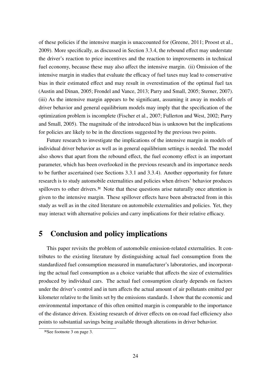of these policies if the intensive margin is unaccounted for (Greene, 2011; Proost et al., 2009). More specifically, as discussed in Section 3.3.4, the rebound effect may understate the driver's reaction to price incentives and the reaction to improvements in technical fuel economy, because these may also affect the intensive margin. (ii) Omission of the intensive margin in studies that evaluate the efficacy of fuel taxes may lead to conservative bias in their estimated effect and may result in overestimation of the optimal fuel tax (Austin and Dinan, 2005; Frondel and Vance, 2013; Parry and Small, 2005; Sterner, 2007). (iii) As the intensive margin appears to be significant, assuming it away in models of driver behavior and general equilibrium models may imply that the specification of the optimization problem is incomplete (Fischer et al., 2007; Fullerton and West, 2002; Parry and Small, 2005). The magnitude of the introduced bias is unknown but the implications for policies are likely to be in the directions suggested by the previous two points.

Future research to investigate the implications of the intensive margin in models of individual driver behavior as well as in general equilibrium settings is needed. The model also shows that apart from the rebound effect, the fuel economy effect is an important parameter, which has been overlooked in the previous research and its importance needs to be further ascertained (see Sections 3.3.1 and 3.3.4). Another opportunity for future research is to study automobile externalities and policies when drivers' behavior produces spillovers to other drivers.<sup>31</sup> Note that these questions arise naturally once attention is given to the intensive margin. These spillover effects have been abstracted from in this study as well as in the cited literature on automobile externalities and policies. Yet, they may interact with alternative policies and carry implications for their relative efficacy.

# 5 Conclusion and policy implications

This paper revisits the problem of automobile emission-related externalities. It contributes to the existing literature by distinguishing actual fuel consumption from the standardized fuel consumption measured in manufacturer's laboratories, and incorporating the actual fuel consumption as a choice variable that affects the size of externalities produced by individual cars. The actual fuel consumption clearly depends on factors under the driver's control and in turn affects the actual amount of air pollutants emitted per kilometer relative to the limits set by the emissions standards. I show that the economic and environmental importance of this often omitted margin is comparable to the importance of the distance driven. Existing research of driver effects on on-road fuel efficiency also points to substantial savings being available through alterations in driver behavior.

<sup>31</sup>See footnote 3 on page 3.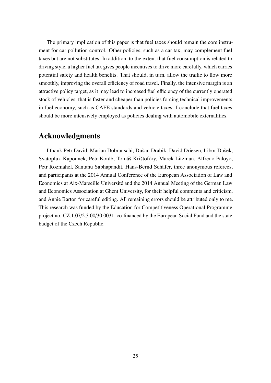The primary implication of this paper is that fuel taxes should remain the core instrument for car pollution control. Other policies, such as a car tax, may complement fuel taxes but are not substitutes. In addition, to the extent that fuel consumption is related to driving style, a higher fuel tax gives people incentives to drive more carefully, which carries potential safety and health benefits. That should, in turn, allow the traffic to flow more smoothly, improving the overall efficiency of road travel. Finally, the intensive margin is an attractive policy target, as it may lead to increased fuel efficiency of the currently operated stock of vehicles; that is faster and cheaper than policies forcing technical improvements in fuel economy, such as CAFE standards and vehicle taxes. I conclude that fuel taxes should be more intensively employed as policies dealing with automobile externalities.

# Acknowledgments

I thank Petr David, Marian Dobranschi, Dušan Drabik, David Driesen, Libor Dušek, Svatopluk Kapounek, Petr Koráb, Tomáš Krištofóry, Marek Litzman, Alfredo Paloyo, Petr Rozmahel, Santanu Sabhapandit, Hans-Bernd Schäfer, three anonymous referees, and participants at the 2014 Annual Conference of the European Association of Law and Economics at Aix-Marseille Université and the 2014 Annual Meeting of the German Law and Economics Association at Ghent University, for their helpful comments and criticism, and Annie Barton for careful editing. All remaining errors should be attributed only to me. This research was funded by the Education for Competitiveness Operational Programme project no. CZ.1.07/2.3.00/30.0031, co-financed by the European Social Fund and the state budget of the Czech Republic.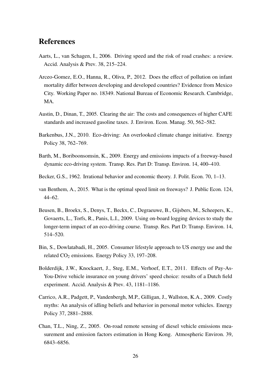## References

- Aarts, L., van Schagen, I., 2006. Driving speed and the risk of road crashes: a review. Accid. Analysis & Prev. 38, 215–224.
- Arceo-Gomez, E.O., Hanna, R., Oliva, P., 2012. Does the effect of pollution on infant mortality differ between developing and developed countries? Evidence from Mexico City. Working Paper no. 18349. National Bureau of Economic Research. Cambridge, MA.
- Austin, D., Dinan, T., 2005. Clearing the air: The costs and consequences of higher CAFE standards and increased gasoline taxes. J. Environ. Econ. Manag. 50, 562–582.
- Barkenbus, J.N., 2010. Eco-driving: An overlooked climate change initiative. Energy Policy 38, 762–769.
- Barth, M., Boriboonsomsin, K., 2009. Energy and emissions impacts of a freeway-based dynamic eco-driving system. Transp. Res. Part D: Transp. Environ. 14, 400–410.
- Becker, G.S., 1962. Irrational behavior and economic theory. J. Polit. Econ. 70, 1–13.
- van Benthem, A., 2015. What is the optimal speed limit on freeways? J. Public Econ. 124, 44–62.
- Beusen, B., Broekx, S., Denys, T., Beckx, C., Degraeuwe, B., Gijsbers, M., Scheepers, K., Govaerts, L., Torfs, R., Panis, L.I., 2009. Using on-board logging devices to study the longer-term impact of an eco-driving course. Transp. Res. Part D: Transp. Environ. 14, 514–520.
- Bin, S., Dowlatabadi, H., 2005. Consumer lifestyle approach to US energy use and the related  $CO<sub>2</sub>$  emissions. Energy Policy 33, 197–208.
- Bolderdijk, J.W., Knockaert, J., Steg, E.M., Verhoef, E.T., 2011. Effects of Pay-As-You-Drive vehicle insurance on young drivers' speed choice: results of a Dutch field experiment. Accid. Analysis & Prev. 43, 1181–1186.
- Carrico, A.R., Padgett, P., Vandenbergh, M.P., Gilligan, J., Wallston, K.A., 2009. Costly myths: An analysis of idling beliefs and behavior in personal motor vehicles. Energy Policy 37, 2881–2888.
- Chan, T.L., Ning, Z., 2005. On-road remote sensing of diesel vehicle emissions measurement and emission factors estimation in Hong Kong. Atmospheric Environ. 39, 6843–6856.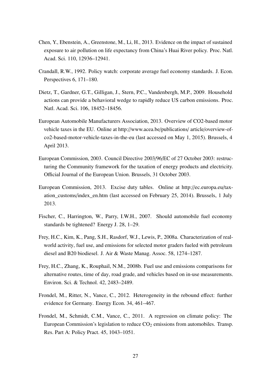- Chen, Y., Ebenstein, A., Greenstone, M., Li, H., 2013. Evidence on the impact of sustained exposure to air pollution on life expectancy from China's Huai River policy. Proc. Natl. Acad. Sci. 110, 12936–12941.
- Crandall, R.W., 1992. Policy watch: corporate average fuel economy standards. J. Econ. Perspectives 6, 171–180.
- Dietz, T., Gardner, G.T., Gilligan, J., Stern, P.C., Vandenbergh, M.P., 2009. Household actions can provide a behavioral wedge to rapidly reduce US carbon emissions. Proc. Natl. Acad. Sci. 106, 18452–18456.
- European Automobile Manufacturers Association, 2013. Overview of CO2-based motor vehicle taxes in the EU. Online at http://www.acea.be/publications/ article/overview-ofco2-based-motor-vehicle-taxes-in-the-eu (last accessed on May 1, 2015). Brussels, 4 April 2013.
- European Commission, 2003. Council Directive 2003/96/EC of 27 October 2003: restructuring the Community framework for the taxation of energy products and electricity. Official Journal of the European Union. Brussels, 31 October 2003.
- European Commission, 2013. Excise duty tables. Online at http://ec.europa.eu/taxation\_customs/index\_en.htm (last accessed on February 25, 2014). Brussels, 1 July 2013.
- Fischer, C., Harrington, W., Parry, I.W.H., 2007. Should automobile fuel economy standards be tightened? Energy J. 28, 1–29.
- Frey, H.C., Kim, K., Pang, S.H., Rasdorf, W.J., Lewis, P., 2008a. Characterization of realworld activity, fuel use, and emissions for selected motor graders fueled with petroleum diesel and B20 biodiesel. J. Air & Waste Manag. Assoc. 58, 1274–1287.
- Frey, H.C., Zhang, K., Rouphail, N.M., 2008b. Fuel use and emissions comparisons for alternative routes, time of day, road grade, and vehicles based on in-use measurements. Environ. Sci. & Technol. 42, 2483–2489.
- Frondel, M., Ritter, N., Vance, C., 2012. Heterogeneity in the rebound effect: further evidence for Germany. Energy Econ. 34, 461–467.
- Frondel, M., Schmidt, C.M., Vance, C., 2011. A regression on climate policy: The European Commission's legislation to reduce  $CO<sub>2</sub>$  emissions from automobiles. Transp. Res. Part A: Policy Pract. 45, 1043–1051.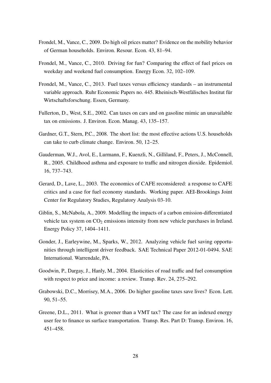- Frondel, M., Vance, C., 2009. Do high oil prices matter? Evidence on the mobility behavior of German households. Environ. Resour. Econ. 43, 81–94.
- Frondel, M., Vance, C., 2010. Driving for fun? Comparing the effect of fuel prices on weekday and weekend fuel consumption. Energy Econ. 32, 102–109.
- Frondel, M., Vance, C., 2013. Fuel taxes versus efficiency standards an instrumental variable approach. Ruhr Economic Papers no. 445. Rheinisch-Westfälisches Institut für Wirtschaftsforschung. Essen, Germany.
- Fullerton, D., West, S.E., 2002. Can taxes on cars and on gasoline mimic an unavailable tax on emissions. J. Environ. Econ. Manag. 43, 135–157.
- Gardner, G.T., Stern, P.C., 2008. The short list: the most effective actions U.S. households can take to curb climate change. Environ. 50, 12–25.
- Gauderman, W.J., Avol, E., Lurmann, F., Kuenzli, N., Gilliland, F., Peters, J., McConnell, R., 2005. Childhood asthma and exposure to traffic and nitrogen dioxide. Epidemiol. 16, 737–743.
- Gerard, D., Lave, L., 2003. The economics of CAFE reconsidered: a response to CAFE critics and a case for fuel economy standards. Working paper. AEI-Brookings Joint Center for Regulatory Studies, Regulatory Analysis 03-10.
- Giblin, S., McNabola, A., 2009. Modelling the impacts of a carbon emission-differentiated vehicle tax system on  $CO<sub>2</sub>$  emissions intensity from new vehicle purchases in Ireland. Energy Policy 37, 1404–1411.
- Gonder, J., Earleywine, M., Sparks, W., 2012. Analyzing vehicle fuel saving opportunities through intelligent driver feedback. SAE Technical Paper 2012-01-0494. SAE International. Warrendale, PA.
- Goodwin, P., Dargay, J., Hanly, M., 2004. Elasticities of road traffic and fuel consumption with respect to price and income: a review. Transp. Rev. 24, 275–292.
- Grabowski, D.C., Morrisey, M.A., 2006. Do higher gasoline taxes save lives? Econ. Lett. 90, 51–55.
- Greene, D.L., 2011. What is greener than a VMT tax? The case for an indexed energy user fee to finance us surface transportation. Transp. Res. Part D: Transp. Environ. 16, 451–458.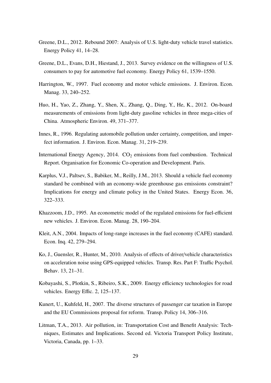- Greene, D.L., 2012. Rebound 2007: Analysis of U.S. light-duty vehicle travel statistics. Energy Policy 41, 14–28.
- Greene, D.L., Evans, D.H., Hiestand, J., 2013. Survey evidence on the willingness of U.S. consumers to pay for automotive fuel economy. Energy Policy 61, 1539–1550.
- Harrington, W., 1997. Fuel economy and motor vehicle emissions. J. Environ. Econ. Manag. 33, 240–252.
- Huo, H., Yao, Z., Zhang, Y., Shen, X., Zhang, Q., Ding, Y., He, K., 2012. On-board measurements of emissions from light-duty gasoline vehicles in three mega-cities of China. Atmospheric Environ. 49, 371–377.
- Innes, R., 1996. Regulating automobile pollution under certainty, competition, and imperfect information. J. Environ. Econ. Manag. 31, 219–239.
- International Energy Agency,  $2014. CO<sub>2</sub>$  emissions from fuel combustion. Technical Report. Organisation for Economic Co-operation and Development. Paris.
- Karplus, V.J., Paltsev, S., Babiker, M., Reilly, J.M., 2013. Should a vehicle fuel economy standard be combined with an economy-wide greenhouse gas emissions constraint? Implications for energy and climate policy in the United States. Energy Econ. 36, 322–333.
- Khazzoom, J.D., 1995. An econometric model of the regulated emissions for fuel-efficient new vehicles. J. Environ. Econ. Manag. 28, 190–204.
- Kleit, A.N., 2004. Impacts of long-range increases in the fuel economy (CAFE) standard. Econ. Inq. 42, 279–294.
- Ko, J., Guensler, R., Hunter, M., 2010. Analysis of effects of driver/vehicle characteristics on acceleration noise using GPS-equipped vehicles. Transp. Res. Part F: Traffic Psychol. Behav. 13, 21–31.
- Kobayashi, S., Plotkin, S., Ribeiro, S.K., 2009. Energy efficiency technologies for road vehicles. Energy Effic. 2, 125–137.
- Kunert, U., Kuhfeld, H., 2007. The diverse structures of passenger car taxation in Europe and the EU Commissions proposal for reform. Transp. Policy 14, 306–316.
- Litman, T.A., 2013. Air pollution, in: Transportation Cost and Benefit Analysis: Techniques, Estimates and Implications. Second ed. Victoria Transport Policy Institute, Victoria, Canada, pp. 1–33.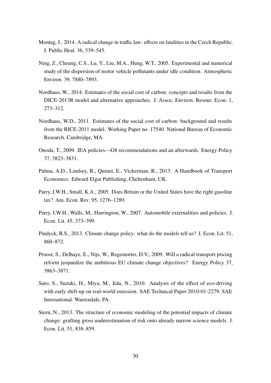- Montag, J., 2014. A radical change in traffic law: effects on fatalities in the Czech Republic. J. Public Heal. 36, 539–545.
- Ning, Z., Cheung, C.S., Lu, Y., Liu, M.A., Hung, W.T., 2005. Experimental and numerical study of the dispersion of motor vehicle pollutants under idle condition. Atmospheric Environ. 39, 7880–7893.
- Nordhaus, W., 2014. Estimates of the social cost of carbon: concepts and results from the DICE-2013R model and alternative approaches. J. Assoc. Environ. Resour. Econ. 1, 273–312.
- Nordhaus, W.D., 2011. Estimates of the social cost of carbon: background and results from the RICE-2011 model. Working Paper no. 17540. National Bureau of Economic Research. Cambridge, MA.
- Onoda, T., 2009. IEA policies—G8 recommendations and an afterwards. Energy Policy 37, 3823–3831.
- Palma, A.D., Lindsey, R., Quinet, E., Vickerman, R., 2013. A Handbook of Transport Economics. Edward Elgar Publishing, Cheltenham, UK.
- Parry, I.W.H., Small, K.A., 2005. Does Britain or the United States have the right gasoline tax? Am. Econ. Rev. 95, 1276–1289.
- Parry, I.W.H., Walls, M., Harrington, W., 2007. Automobile externalities and policies. J. Econ. Lit. 45, 373–399.
- Pindyck, R.S., 2013. Climate change policy: what do the models tell us? J. Econ. Lit. 51, 860–872.
- Proost, S., Delhaye, E., Nijs, W., Regemorter, D.V., 2009. Will a radical transport pricing reform jeopardize the ambitious EU climate change objectives? Energy Policy 37, 3863–3871.
- Sato, S., Suzuki, H., Miya, M., Iida, N., 2010. Analysis of the effect of eco-driving with early shift-up on real-world emission. SAE Technical Paper 2010-01-2279. SAE International. Warrendale, PA.
- Stern, N., 2013. The structure of economic modeling of the potential impacts of climate change: grafting gross underestimation of risk onto already narrow science models. J. Econ. Lit. 51, 838–859.